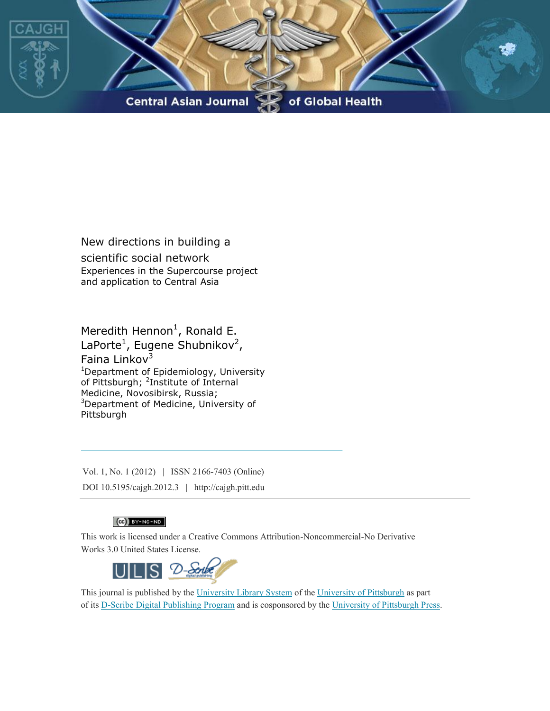

New directions in building a scientific social network Experiences in the Supercourse project and application to Central Asia

Meredith Hennon<sup>1</sup>, Ronald E. LaPorte<sup>1</sup>, Eugene Shubnikov<sup>2</sup>, Faina Linkov $3$ <sup>1</sup>Department of Epidemiology, University of Pittsburgh; <sup>2</sup>Institute of Internal Medicine, Novosibirsk, Russia; <sup>3</sup>Department of Medicine, University of Pittsburgh

Vol. 1, No. 1 (2012) | ISSN 2166-7403 (Online) DOI 10.5195/cajgh.2012.3 | http://cajgh.pitt.edu

# $(G)$  BY-NC-ND

This work is licensed under a Creative Commons Attribution-Noncommercial-No Derivative Works 3.0 United States License.



This journal is published by the University Library System of the University of Pittsburgh as part of its D-Scribe Digital Publishing Program and is cosponsored by the University of Pittsburgh Press.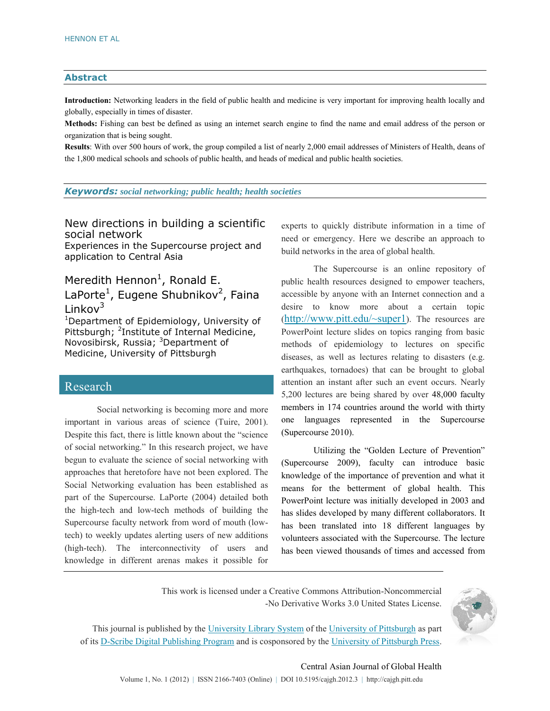#### **Abstract**

**Introduction:** Networking leaders in the field of public health and medicine is very important for improving health locally and globally, especially in times of disaster.

**Methods:** Fishing can best be defined as using an internet search engine to find the name and email address of the person or organization that is being sought.

**Results**: With over 500 hours of work, the group compiled a list of nearly 2,000 email addresses of Ministers of Health, deans of the 1,800 medical schools and schools of public health, and heads of medical and public health societies.

*Keywords: social networking; public health; health societies*

New directions in building a scientific social network Experiences in the Supercourse project and

application to Central Asia

# Meredith Hennon<sup>1</sup>, Ronald E. LaPorte<sup>1</sup>, Eugene Shubnikov<sup>2</sup>, Faina Linkov $3$

<sup>1</sup>Department of Epidemiology, University of Pittsburgh; <sup>2</sup>Institute of Internal Medicine, Novosibirsk, Russia; <sup>3</sup>Department of Medicine, University of Pittsburgh

# Research

Social networking is becoming more and more important in various areas of science (Tuire, 2001). Despite this fact, there is little known about the "science of social networking." In this research project, we have begun to evaluate the science of social networking with approaches that heretofore have not been explored. The Social Networking evaluation has been established as part of the Supercourse. LaPorte (2004) detailed both the high-tech and low-tech methods of building the Supercourse faculty network from word of mouth (lowtech) to weekly updates alerting users of new additions (high-tech). The interconnectivity of users and knowledge in different arenas makes it possible for experts to quickly distribute information in a time of need or emergency. Here we describe an approach to build networks in the area of global health.

The Supercourse is an online repository of public health resources designed to empower teachers, accessible by anyone with an Internet connection and a desire to know more about a certain topic (<http://www.pitt.edu/~super1>). The resources are PowerPoint lecture slides on topics ranging from basic methods of epidemiology to lectures on specific diseases, as well as lectures relating to disasters (e.g. earthquakes, tornadoes) that can be brought to global attention an instant after such an event occurs. Nearly 5,200 lectures are being shared by over 48,000 faculty members in 174 countries around the world with thirty one languages represented in the Supercourse (Supercourse 2010).

Utilizing the "Golden Lecture of Prevention" (Supercourse 2009), faculty can introduce basic knowledge of the importance of prevention and what it means for the betterment of global health. This PowerPoint lecture was initially developed in 2003 and has slides developed by many different collaborators. It has been translated into 18 different languages by volunteers associated with the Supercourse. The lecture has been viewed thousands of times and accessed from

This work is licensed under a Creative Commons Attribution-Noncommercial -No Derivative Works 3.0 United States License.



This journal is published by the University Library System of the University of Pittsburgh as part of its D-Scribe Digital Publishing Program and is cosponsored by the University of Pittsburgh Press.

#### Central Asian Journal of Global Health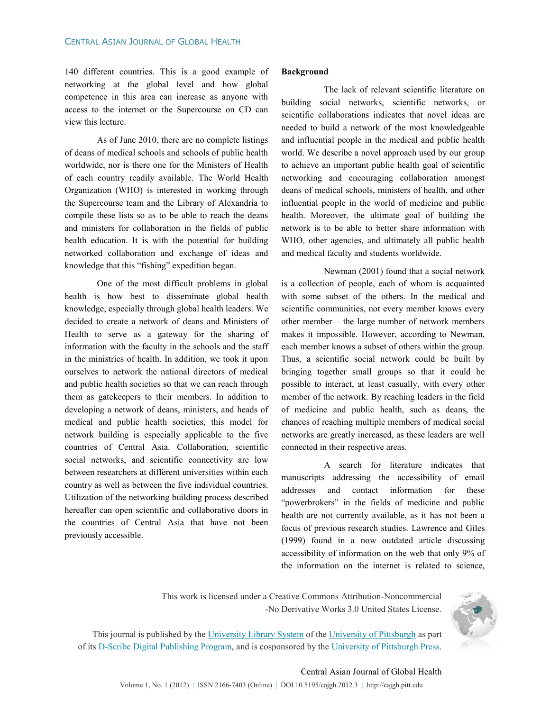140 different countries. This is a good example of networking at the global level and how global competence in this area can increase as anyone with access to the internet or the Supercourse on CD can view this lecture.

As of June 2010, there are no complete listings of deans of medical schools and schools of public health worldwide, nor is there one for the Ministers of Health of each country readily available. The World Health Organization (WHO) is interested in working through the Supercourse team and the Library of Alexandria to compile these lists so as to be able to reach the deans and ministers for collaboration in the fields of public health education. It is with the potential for building networked collaboration and exchange of ideas and knowledge that this "fishing" expedition began.

One of the most difficult problems in global health is how best to disseminate global health knowledge, especially through global health leaders. We decided to create a network of deans and Ministers of Health to serve as a gateway for the sharing of information with the faculty in the schools and the staff in the ministries of health. In addition, we took it upon ourselves to network the national directors of medical and public health societies so that we can reach through them as gatekeepers to their members. In addition to developing a network of deans, ministers, and heads of medical and public health societies, this model for network building is especially applicable to the five countries of Central Asia. Collaboration, scientific social networks, and scientific connectivity are low between researchers at different universities within each country as well as between the five individual countries. Utilization of the networking building process described hereafter can open scientific and collaborative doors in the countries of Central Asia that have not been previously accessible.

#### **Background**

 The lack of relevant scientific literature on building social networks, scientific networks, or scientific collaborations indicates that novel ideas are needed to build a network of the most knowledgeable and influential people in the medical and public health world. We describe a novel approach used by our group to achieve an important public health goal of scientific networking and encouraging collaboration amongst deans of medical schools, ministers of health, and other influential people in the world of medicine and public health. Moreover, the ultimate goal of building the network is to be able to better share information with WHO, other agencies, and ultimately all public health and medical faculty and students worldwide.

 Newman (2001) found that a social network is a collection of people, each of whom is acquainted with some subset of the others. In the medical and scientific communities, not every member knows every other member – the large number of network members makes it impossible. However, according to Newman, each member knows a subset of others within the group. Thus, a scientific social network could be built by bringing together small groups so that it could be possible to interact, at least casually, with every other member of the network. By reaching leaders in the field of medicine and public health, such as deans, the chances of reaching multiple members of medical social networks are greatly increased, as these leaders are well connected in their respective areas.

 A search for literature indicates that manuscripts addressing the accessibility of email addresses and contact information for these "powerbrokers" in the fields of medicine and public health are not currently available, as it has not been a focus of previous research studies. Lawrence and Giles (1999) found in a now outdated article discussing accessibility of information on the web that only 9% of the information on the internet is related to science,

This work is licensed under a Creative Commons Attribution-Noncommercial -No Derivative Works 3.0 United States License.



This journal is published by the University Library System of the University of Pittsburgh as part of its D-Scribe Digital Publishing Program, and is cosponsored by the University of Pittsburgh Press.

# Central Asian Journal of Global Health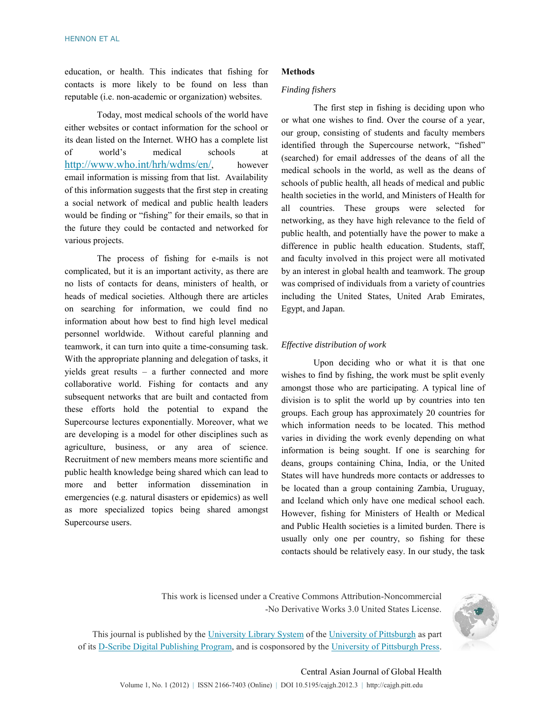education, or health. This indicates that fishing for contacts is more likely to be found on less than reputable (i.e. non-academic or organization) websites.

Today, most medical schools of the world have either websites or contact information for the school or its dean listed on the Internet. WHO has a complete list of world's medical schools at <http://www.who.int/hrh/wdms/en/>, however email information is missing from that list. Availability of this information suggests that the first step in creating a social network of medical and public health leaders would be finding or "fishing" for their emails, so that in the future they could be contacted and networked for various projects.

The process of fishing for e-mails is not complicated, but it is an important activity, as there are no lists of contacts for deans, ministers of health, or heads of medical societies. Although there are articles on searching for information, we could find no information about how best to find high level medical personnel worldwide. Without careful planning and teamwork, it can turn into quite a time-consuming task. With the appropriate planning and delegation of tasks, it yields great results – a further connected and more collaborative world. Fishing for contacts and any subsequent networks that are built and contacted from these efforts hold the potential to expand the Supercourse lectures exponentially. Moreover, what we are developing is a model for other disciplines such as agriculture, business, or any area of science. Recruitment of new members means more scientific and public health knowledge being shared which can lead to more and better information dissemination in emergencies (e.g. natural disasters or epidemics) as well as more specialized topics being shared amongst Supercourse users.

#### **Methods**

#### *Finding fishers*

The first step in fishing is deciding upon who or what one wishes to find. Over the course of a year, our group, consisting of students and faculty members identified through the Supercourse network, "fished" (searched) for email addresses of the deans of all the medical schools in the world, as well as the deans of schools of public health, all heads of medical and public health societies in the world, and Ministers of Health for all countries. These groups were selected for networking, as they have high relevance to the field of public health, and potentially have the power to make a difference in public health education. Students, staff, and faculty involved in this project were all motivated by an interest in global health and teamwork. The group was comprised of individuals from a variety of countries including the United States, United Arab Emirates, Egypt, and Japan.

#### *Effective distribution of work*

Upon deciding who or what it is that one wishes to find by fishing, the work must be split evenly amongst those who are participating. A typical line of division is to split the world up by countries into ten groups. Each group has approximately 20 countries for which information needs to be located. This method varies in dividing the work evenly depending on what information is being sought. If one is searching for deans, groups containing China, India, or the United States will have hundreds more contacts or addresses to be located than a group containing Zambia, Uruguay, and Iceland which only have one medical school each. However, fishing for Ministers of Health or Medical and Public Health societies is a limited burden. There is usually only one per country, so fishing for these contacts should be relatively easy. In our study, the task

This work is licensed under a Creative Commons Attribution-Noncommercial -No Derivative Works 3.0 United States License.



This journal is published by the University Library System of the University of Pittsburgh as part of its D-Scribe Digital Publishing Program, and is cosponsored by the University of Pittsburgh Press.

## Central Asian Journal of Global Health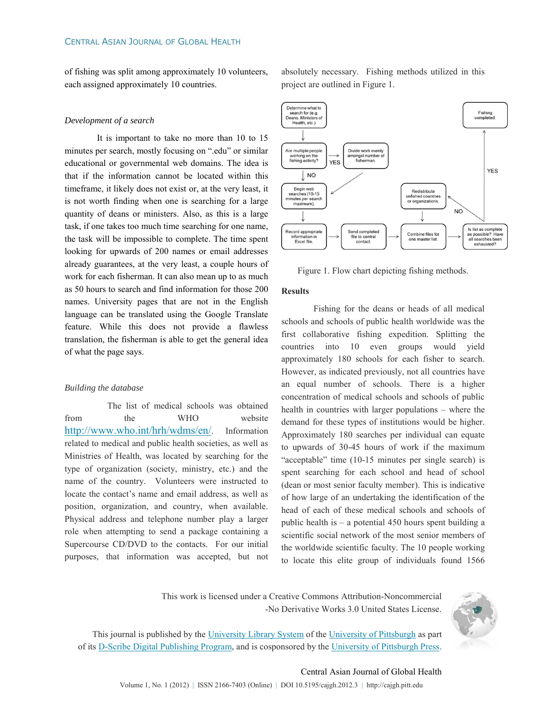of fishing was split among approximately 10 volunteers, each assigned approximately 10 countries.

#### *Development of a search*

It is important to take no more than 10 to 15 minutes per search, mostly focusing on ".edu" or similar educational or governmental web domains. The idea is that if the information cannot be located within this timeframe, it likely does not exist or, at the very least, it is not worth finding when one is searching for a large quantity of deans or ministers. Also, as this is a large task, if one takes too much time searching for one name, the task will be impossible to complete. The time spent looking for upwards of 200 names or email addresses already guarantees, at the very least, a couple hours of work for each fisherman. It can also mean up to as much as 50 hours to search and find information for those 200 names. University pages that are not in the English language can be translated using the Google Translate feature. While this does not provide a flawless translation, the fisherman is able to get the general idea of what the page says.

#### *Building the database*

 The list of medical schools was obtained from the WHO website <http://www.who.int/hrh/wdms/en/>. Information related to medical and public health societies, as well as Ministries of Health, was located by searching for the type of organization (society, ministry, etc.) and the name of the country. Volunteers were instructed to locate the contact's name and email address, as well as position, organization, and country, when available. Physical address and telephone number play a larger role when attempting to send a package containing a Supercourse CD/DVD to the contacts. For our initial purposes, that information was accepted, but not

absolutely necessary. Fishing methods utilized in this project are outlined in Figure 1.



Figure 1. Flow chart depicting fishing methods.

#### **Results**

Fishing for the deans or heads of all medical schools and schools of public health worldwide was the first collaborative fishing expedition. Splitting the countries into 10 even groups would yield approximately 180 schools for each fisher to search. However, as indicated previously, not all countries have an equal number of schools. There is a higher concentration of medical schools and schools of public health in countries with larger populations – where the demand for these types of institutions would be higher. Approximately 180 searches per individual can equate to upwards of 30-45 hours of work if the maximum "acceptable" time (10-15 minutes per single search) is spent searching for each school and head of school (dean or most senior faculty member). This is indicative of how large of an undertaking the identification of the head of each of these medical schools and schools of public health is – a potential 450 hours spent building a scientific social network of the most senior members of the worldwide scientific faculty. The 10 people working to locate this elite group of individuals found 1566

This work is licensed under a Creative Commons Attribution-Noncommercial -No Derivative Works 3.0 United States License.



This journal is published by the University Library System of the University of Pittsburgh as part of its D-Scribe Digital Publishing Program, and is cosponsored by the University of Pittsburgh Press.

# Central Asian Journal of Global Health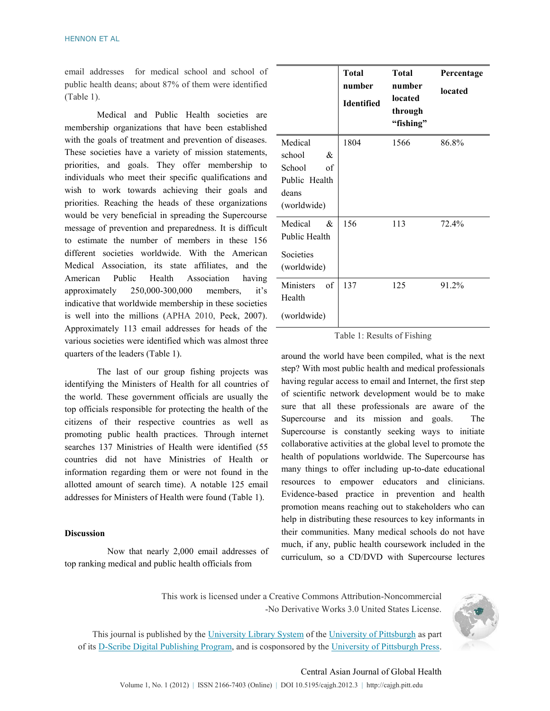email addresses for medical school and school of public health deans; about 87% of them were identified (Table 1).

Medical and Public Health societies are membership organizations that have been established with the goals of treatment and prevention of diseases. These societies have a variety of mission statements, priorities, and goals. They offer membership to individuals who meet their specific qualifications and wish to work towards achieving their goals and priorities. Reaching the heads of these organizations would be very beneficial in spreading the Supercourse message of prevention and preparedness. It is difficult to estimate the number of members in these 156 different societies worldwide. With the American Medical Association, its state affiliates, and the American Public Health Association having approximately 250,000-300,000 members, it's indicative that worldwide membership in these societies is well into the millions (APHA 2010, Peck, 2007). Approximately 113 email addresses for heads of the various societies were identified which was almost three quarters of the leaders (Table 1).

The last of our group fishing projects was identifying the Ministers of Health for all countries of the world. These government officials are usually the top officials responsible for protecting the health of the citizens of their respective countries as well as promoting public health practices. Through internet searches 137 Ministries of Health were identified (55 countries did not have Ministries of Health or information regarding them or were not found in the allotted amount of search time). A notable 125 email addresses for Ministers of Health were found (Table 1).

#### **Discussion**

 Now that nearly 2,000 email addresses of top ranking medical and public health officials from

|                                                                                 | <b>Total</b><br>number<br><b>Identified</b> | <b>Total</b><br>number<br>located<br>through<br>"fishing" | Percentage<br>located |
|---------------------------------------------------------------------------------|---------------------------------------------|-----------------------------------------------------------|-----------------------|
| Medical<br>school<br>&<br>School<br>of<br>Public Health<br>deans<br>(worldwide) | 1804                                        | 1566                                                      | 86.8%                 |
| Medical<br>&<br>Public Health<br>Societies<br>(worldwide)                       | 156                                         | 113                                                       | 72.4%                 |
| Ministers<br>of<br>Health<br>(worldwide)                                        | 137                                         | 125                                                       | 91.2%                 |

#### Table 1: Results of Fishing

around the world have been compiled, what is the next step? With most public health and medical professionals having regular access to email and Internet, the first step of scientific network development would be to make sure that all these professionals are aware of the Supercourse and its mission and goals. The Supercourse is constantly seeking ways to initiate collaborative activities at the global level to promote the health of populations worldwide. The Supercourse has many things to offer including up-to-date educational resources to empower educators and clinicians. Evidence-based practice in prevention and health promotion means reaching out to stakeholders who can help in distributing these resources to key informants in their communities. Many medical schools do not have much, if any, public health coursework included in the curriculum, so a CD/DVD with Supercourse lectures

This work is licensed under a Creative Commons Attribution-Noncommercial -No Derivative Works 3.0 United States License.



This journal is published by the University Library System of the University of Pittsburgh as part of its D-Scribe Digital Publishing Program, and is cosponsored by the University of Pittsburgh Press.

# Central Asian Journal of Global Health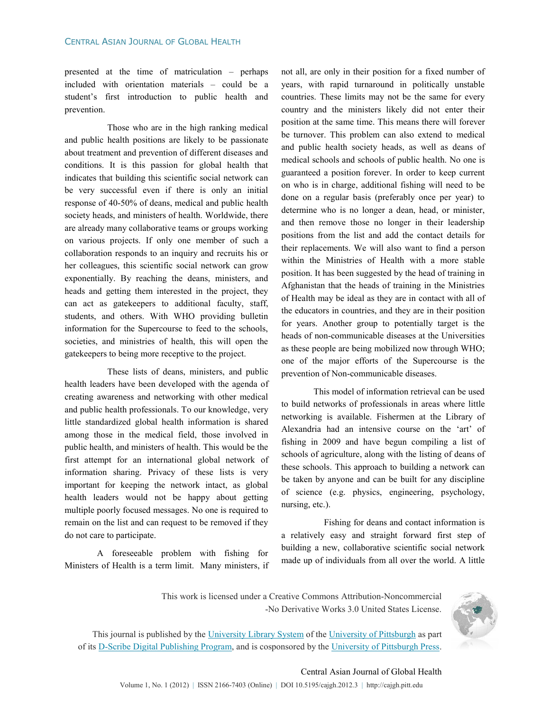presented at the time of matriculation – perhaps included with orientation materials – could be a student's first introduction to public health and prevention.

 Those who are in the high ranking medical and public health positions are likely to be passionate about treatment and prevention of different diseases and conditions. It is this passion for global health that indicates that building this scientific social network can be very successful even if there is only an initial response of 40-50% of deans, medical and public health society heads, and ministers of health. Worldwide, there are already many collaborative teams or groups working on various projects. If only one member of such a collaboration responds to an inquiry and recruits his or her colleagues, this scientific social network can grow exponentially. By reaching the deans, ministers, and heads and getting them interested in the project, they can act as gatekeepers to additional faculty, staff, students, and others. With WHO providing bulletin information for the Supercourse to feed to the schools, societies, and ministries of health, this will open the gatekeepers to being more receptive to the project.

 These lists of deans, ministers, and public health leaders have been developed with the agenda of creating awareness and networking with other medical and public health professionals. To our knowledge, very little standardized global health information is shared among those in the medical field, those involved in public health, and ministers of health. This would be the first attempt for an international global network of information sharing. Privacy of these lists is very important for keeping the network intact, as global health leaders would not be happy about getting multiple poorly focused messages. No one is required to remain on the list and can request to be removed if they do not care to participate.

A foreseeable problem with fishing for Ministers of Health is a term limit. Many ministers, if not all, are only in their position for a fixed number of years, with rapid turnaround in politically unstable countries. These limits may not be the same for every country and the ministers likely did not enter their position at the same time. This means there will forever be turnover. This problem can also extend to medical and public health society heads, as well as deans of medical schools and schools of public health. No one is guaranteed a position forever. In order to keep current on who is in charge, additional fishing will need to be done on a regular basis (preferably once per year) to determine who is no longer a dean, head, or minister, and then remove those no longer in their leadership positions from the list and add the contact details for their replacements. We will also want to find a person within the Ministries of Health with a more stable position. It has been suggested by the head of training in Afghanistan that the heads of training in the Ministries of Health may be ideal as they are in contact with all of the educators in countries, and they are in their position for years. Another group to potentially target is the heads of non-communicable diseases at the Universities as these people are being mobilized now through WHO; one of the major efforts of the Supercourse is the prevention of Non-communicable diseases.

This model of information retrieval can be used to build networks of professionals in areas where little networking is available. Fishermen at the Library of Alexandria had an intensive course on the 'art' of fishing in 2009 and have begun compiling a list of schools of agriculture, along with the listing of deans of these schools. This approach to building a network can be taken by anyone and can be built for any discipline of science (e.g. physics, engineering, psychology, nursing, etc.).

 Fishing for deans and contact information is a relatively easy and straight forward first step of building a new, collaborative scientific social network made up of individuals from all over the world. A little

This work is licensed under a Creative Commons Attribution-Noncommercial -No Derivative Works 3.0 United States License.



This journal is published by the University Library System of the University of Pittsburgh as part of its D-Scribe Digital Publishing Program, and is cosponsored by the University of Pittsburgh Press.

## Central Asian Journal of Global Health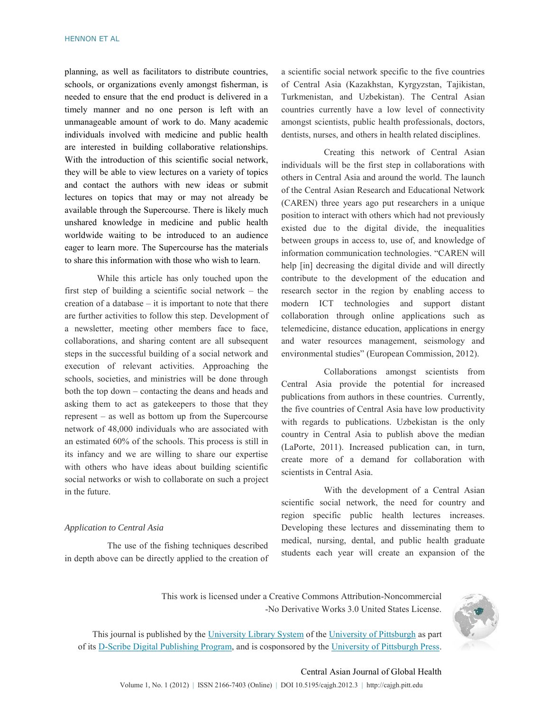planning, as well as facilitators to distribute countries, schools, or organizations evenly amongst fisherman, is needed to ensure that the end product is delivered in a timely manner and no one person is left with an unmanageable amount of work to do. Many academic individuals involved with medicine and public health are interested in building collaborative relationships. With the introduction of this scientific social network, they will be able to view lectures on a variety of topics and contact the authors with new ideas or submit lectures on topics that may or may not already be available through the Supercourse. There is likely much unshared knowledge in medicine and public health worldwide waiting to be introduced to an audience eager to learn more. The Supercourse has the materials to share this information with those who wish to learn.

While this article has only touched upon the first step of building a scientific social network – the creation of a database  $-$  it is important to note that there are further activities to follow this step. Development of a newsletter, meeting other members face to face, collaborations, and sharing content are all subsequent steps in the successful building of a social network and execution of relevant activities. Approaching the schools, societies, and ministries will be done through both the top down – contacting the deans and heads and asking them to act as gatekeepers to those that they represent – as well as bottom up from the Supercourse network of 48,000 individuals who are associated with an estimated 60% of the schools. This process is still in its infancy and we are willing to share our expertise with others who have ideas about building scientific social networks or wish to collaborate on such a project in the future.

#### *Application to Central Asia*

 The use of the fishing techniques described in depth above can be directly applied to the creation of a scientific social network specific to the five countries of Central Asia (Kazakhstan, Kyrgyzstan, Tajikistan, Turkmenistan, and Uzbekistan). The Central Asian countries currently have a low level of connectivity amongst scientists, public health professionals, doctors, dentists, nurses, and others in health related disciplines.

 Creating this network of Central Asian individuals will be the first step in collaborations with others in Central Asia and around the world. The launch of the Central Asian Research and Educational Network (CAREN) three years ago put researchers in a unique position to interact with others which had not previously existed due to the digital divide, the inequalities between groups in access to, use of, and knowledge of information communication technologies. "CAREN will help [in] decreasing the digital divide and will directly contribute to the development of the education and research sector in the region by enabling access to modern ICT technologies and support distant collaboration through online applications such as telemedicine, distance education, applications in energy and water resources management, seismology and environmental studies" (European Commission, 2012).

 Collaborations amongst scientists from Central Asia provide the potential for increased publications from authors in these countries. Currently, the five countries of Central Asia have low productivity with regards to publications. Uzbekistan is the only country in Central Asia to publish above the median (LaPorte, 2011). Increased publication can, in turn, create more of a demand for collaboration with scientists in Central Asia.

 With the development of a Central Asian scientific social network, the need for country and region specific public health lectures increases. Developing these lectures and disseminating them to medical, nursing, dental, and public health graduate students each year will create an expansion of the

This work is licensed under a Creative Commons Attribution-Noncommercial -No Derivative Works 3.0 United States License.



This journal is published by the University Library System of the University of Pittsburgh as part of its D-Scribe Digital Publishing Program, and is cosponsored by the University of Pittsburgh Press.

# Central Asian Journal of Global Health